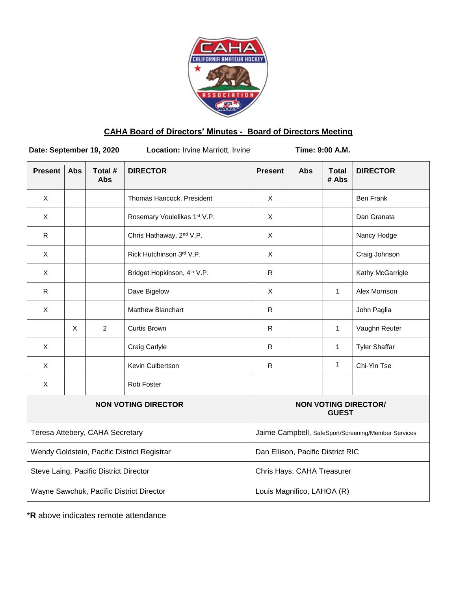

# **CAHA Board of Directors' Minutes - Board of Directors Meeting**

**Date: September 19, 2020** Location: Irvine Marriott, Irvine **Time: 9:00 A.M.** 

| <b>Present</b>                              | <b>Abs</b> | Total #<br><b>Abs</b> | <b>DIRECTOR</b>                         | <b>Present</b>                                      | <b>Abs</b> | <b>Total</b><br># Abs | <b>DIRECTOR</b>      |
|---------------------------------------------|------------|-----------------------|-----------------------------------------|-----------------------------------------------------|------------|-----------------------|----------------------|
| X                                           |            |                       | Thomas Hancock, President               | X                                                   |            |                       | Ben Frank            |
| X                                           |            |                       | Rosemary Voulelikas 1st V.P.            | X                                                   |            |                       | Dan Granata          |
| R                                           |            |                       | Chris Hathaway, 2 <sup>nd</sup> V.P.    | $\mathsf{X}$                                        |            |                       | Nancy Hodge          |
| X                                           |            |                       | Rick Hutchinson 3rd V.P.                | X                                                   |            |                       | Craig Johnson        |
| X                                           |            |                       | Bridget Hopkinson, 4 <sup>th</sup> V.P. | $\mathsf R$                                         |            |                       | Kathy McGarrigle     |
| ${\sf R}$                                   |            |                       | Dave Bigelow                            | X                                                   |            | $\mathbf{1}$          | Alex Morrison        |
| X                                           |            |                       | <b>Matthew Blanchart</b>                | R                                                   |            |                       | John Paglia          |
|                                             | X          | $\overline{2}$        | <b>Curtis Brown</b>                     | $\mathsf{R}$                                        |            | $\mathbf{1}$          | Vaughn Reuter        |
| X                                           |            |                       | Craig Carlyle                           | R                                                   |            | $\mathbf{1}$          | <b>Tyler Shaffar</b> |
| $\mathsf{X}$                                |            |                       | Kevin Culbertson                        | R                                                   |            | $\mathbf{1}$          | Chi-Yin Tse          |
| X                                           |            |                       | Rob Foster                              |                                                     |            |                       |                      |
| <b>NON VOTING DIRECTOR</b>                  |            |                       |                                         | <b>NON VOTING DIRECTOR/</b><br><b>GUEST</b>         |            |                       |                      |
| Teresa Attebery, CAHA Secretary             |            |                       |                                         | Jaime Campbell, SafeSport/Screening/Member Services |            |                       |                      |
| Wendy Goldstein, Pacific District Registrar |            |                       |                                         | Dan Ellison, Pacific District RIC                   |            |                       |                      |
| Steve Laing, Pacific District Director      |            |                       |                                         | Chris Hays, CAHA Treasurer                          |            |                       |                      |
| Wayne Sawchuk, Pacific District Director    |            |                       |                                         | Louis Magnifico, LAHOA (R)                          |            |                       |                      |

\***R** above indicates remote attendance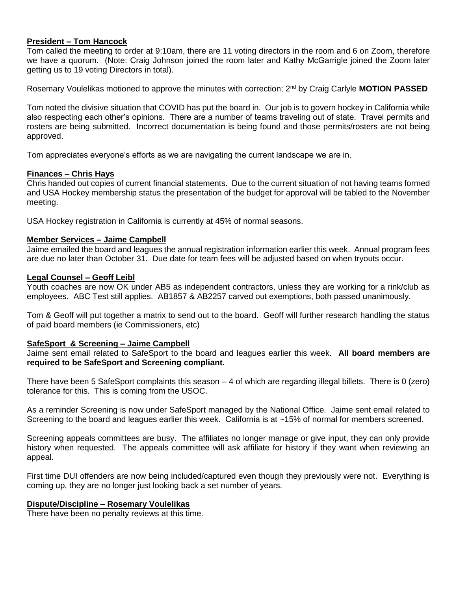# **President – Tom Hancock**

Tom called the meeting to order at 9:10am, there are 11 voting directors in the room and 6 on Zoom, therefore we have a quorum. (Note: Craig Johnson joined the room later and Kathy McGarrigle joined the Zoom later getting us to 19 voting Directors in total).

Rosemary Voulelikas motioned to approve the minutes with correction; 2nd by Craig Carlyle **MOTION PASSED**

Tom noted the divisive situation that COVID has put the board in. Our job is to govern hockey in California while also respecting each other's opinions. There are a number of teams traveling out of state. Travel permits and rosters are being submitted. Incorrect documentation is being found and those permits/rosters are not being approved.

Tom appreciates everyone's efforts as we are navigating the current landscape we are in.

# **Finances – Chris Hays**

Chris handed out copies of current financial statements. Due to the current situation of not having teams formed and USA Hockey membership status the presentation of the budget for approval will be tabled to the November meeting.

USA Hockey registration in California is currently at 45% of normal seasons.

# **Member Services – Jaime Campbell**

Jaime emailed the board and leagues the annual registration information earlier this week. Annual program fees are due no later than October 31. Due date for team fees will be adjusted based on when tryouts occur.

#### **Legal Counsel – Geoff Leibl**

Youth coaches are now OK under AB5 as independent contractors, unless they are working for a rink/club as employees. ABC Test still applies. AB1857 & AB2257 carved out exemptions, both passed unanimously.

Tom & Geoff will put together a matrix to send out to the board. Geoff will further research handling the status of paid board members (ie Commissioners, etc)

#### **SafeSport & Screening – Jaime Campbell**

Jaime sent email related to SafeSport to the board and leagues earlier this week. **All board members are required to be SafeSport and Screening compliant.**

There have been 5 SafeSport complaints this season – 4 of which are regarding illegal billets. There is 0 (zero) tolerance for this. This is coming from the USOC.

As a reminder Screening is now under SafeSport managed by the National Office. Jaime sent email related to Screening to the board and leagues earlier this week. California is at ~15% of normal for members screened.

Screening appeals committees are busy. The affiliates no longer manage or give input, they can only provide history when requested. The appeals committee will ask affiliate for history if they want when reviewing an appeal.

First time DUI offenders are now being included/captured even though they previously were not. Everything is coming up, they are no longer just looking back a set number of years.

#### **Dispute/Discipline – Rosemary Voulelikas**

There have been no penalty reviews at this time.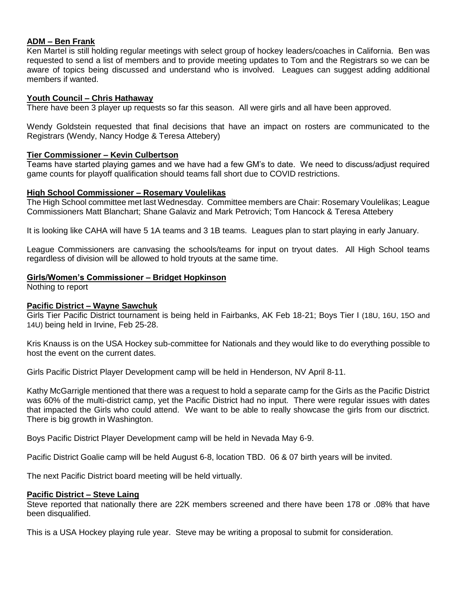## **ADM – Ben Frank**

Ken Martel is still holding regular meetings with select group of hockey leaders/coaches in California. Ben was requested to send a list of members and to provide meeting updates to Tom and the Registrars so we can be aware of topics being discussed and understand who is involved. Leagues can suggest adding additional members if wanted.

## **Youth Council – Chris Hathaway**

There have been 3 player up requests so far this season. All were girls and all have been approved.

Wendy Goldstein requested that final decisions that have an impact on rosters are communicated to the Registrars (Wendy, Nancy Hodge & Teresa Attebery)

#### **Tier Commissioner – Kevin Culbertson**

Teams have started playing games and we have had a few GM's to date. We need to discuss/adjust required game counts for playoff qualification should teams fall short due to COVID restrictions.

#### **High School Commissioner – Rosemary Voulelikas**

The High School committee met last Wednesday. Committee members are Chair: Rosemary Voulelikas; League Commissioners Matt Blanchart; Shane Galaviz and Mark Petrovich; Tom Hancock & Teresa Attebery

It is looking like CAHA will have 5 1A teams and 3 1B teams. Leagues plan to start playing in early January.

League Commissioners are canvasing the schools/teams for input on tryout dates. All High School teams regardless of division will be allowed to hold tryouts at the same time.

#### **Girls/Women's Commissioner – Bridget Hopkinson**

Nothing to report

#### **Pacific District – Wayne Sawchuk**

Girls Tier Pacific District tournament is being held in Fairbanks, AK Feb 18-21; Boys Tier I (18U, 16U, 15O and 14U) being held in Irvine, Feb 25-28.

Kris Knauss is on the USA Hockey sub-committee for Nationals and they would like to do everything possible to host the event on the current dates.

Girls Pacific District Player Development camp will be held in Henderson, NV April 8-11.

Kathy McGarrigle mentioned that there was a request to hold a separate camp for the Girls as the Pacific District was 60% of the multi-district camp, yet the Pacific District had no input. There were regular issues with dates that impacted the Girls who could attend. We want to be able to really showcase the girls from our disctrict. There is big growth in Washington.

Boys Pacific District Player Development camp will be held in Nevada May 6-9.

Pacific District Goalie camp will be held August 6-8, location TBD. 06 & 07 birth years will be invited.

The next Pacific District board meeting will be held virtually.

#### **Pacific District – Steve Laing**

Steve reported that nationally there are 22K members screened and there have been 178 or .08% that have been disqualified.

This is a USA Hockey playing rule year. Steve may be writing a proposal to submit for consideration.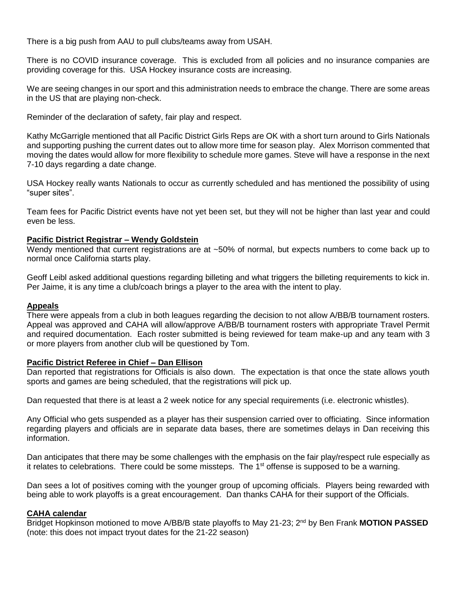There is a big push from AAU to pull clubs/teams away from USAH.

There is no COVID insurance coverage. This is excluded from all policies and no insurance companies are providing coverage for this. USA Hockey insurance costs are increasing.

We are seeing changes in our sport and this administration needs to embrace the change. There are some areas in the US that are playing non-check.

Reminder of the declaration of safety, fair play and respect.

Kathy McGarrigle mentioned that all Pacific District Girls Reps are OK with a short turn around to Girls Nationals and supporting pushing the current dates out to allow more time for season play. Alex Morrison commented that moving the dates would allow for more flexibility to schedule more games. Steve will have a response in the next 7-10 days regarding a date change.

USA Hockey really wants Nationals to occur as currently scheduled and has mentioned the possibility of using "super sites".

Team fees for Pacific District events have not yet been set, but they will not be higher than last year and could even be less.

# **Pacific District Registrar – Wendy Goldstein**

Wendy mentioned that current registrations are at ~50% of normal, but expects numbers to come back up to normal once California starts play.

Geoff Leibl asked additional questions regarding billeting and what triggers the billeting requirements to kick in. Per Jaime, it is any time a club/coach brings a player to the area with the intent to play.

#### **Appeals**

There were appeals from a club in both leagues regarding the decision to not allow A/BB/B tournament rosters. Appeal was approved and CAHA will allow/approve A/BB/B tournament rosters with appropriate Travel Permit and required documentation. Each roster submitted is being reviewed for team make-up and any team with 3 or more players from another club will be questioned by Tom.

#### **Pacific District Referee in Chief – Dan Ellison**

Dan reported that registrations for Officials is also down. The expectation is that once the state allows youth sports and games are being scheduled, that the registrations will pick up.

Dan requested that there is at least a 2 week notice for any special requirements (i.e. electronic whistles).

Any Official who gets suspended as a player has their suspension carried over to officiating. Since information regarding players and officials are in separate data bases, there are sometimes delays in Dan receiving this information.

Dan anticipates that there may be some challenges with the emphasis on the fair play/respect rule especially as it relates to celebrations. There could be some missteps. The  $1<sup>st</sup>$  offense is supposed to be a warning.

Dan sees a lot of positives coming with the younger group of upcoming officials. Players being rewarded with being able to work playoffs is a great encouragement. Dan thanks CAHA for their support of the Officials.

#### **CAHA calendar**

Bridget Hopkinson motioned to move A/BB/B state playoffs to May 21-23; 2nd by Ben Frank **MOTION PASSED** (note: this does not impact tryout dates for the 21-22 season)